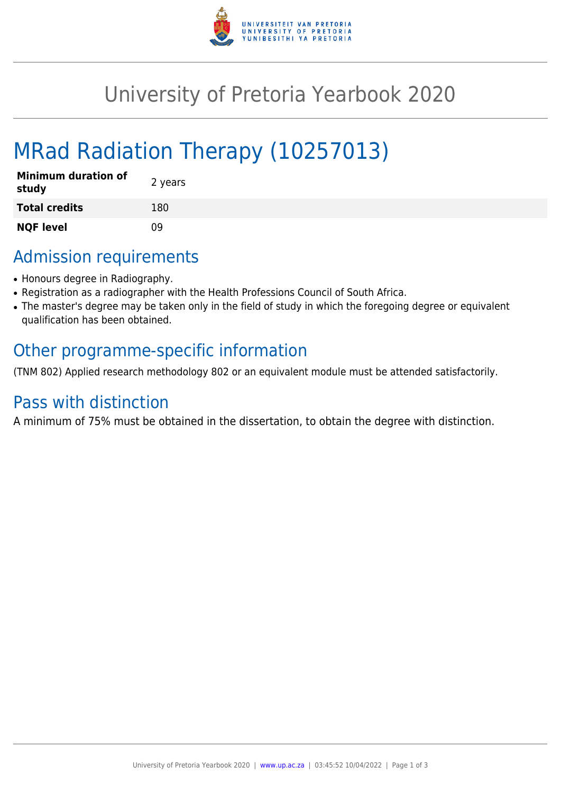

## University of Pretoria Yearbook 2020

# MRad Radiation Therapy (10257013)

| <b>Minimum duration of</b><br>study | 2 years |
|-------------------------------------|---------|
| <b>Total credits</b>                | 180     |
| <b>NQF level</b>                    | nq      |

### Admission requirements

- Honours degree in Radiography.
- Registration as a radiographer with the Health Professions Council of South Africa.
- The master's degree may be taken only in the field of study in which the foregoing degree or equivalent qualification has been obtained.

### Other programme-specific information

(TNM 802) Applied research methodology 802 or an equivalent module must be attended satisfactorily.

### Pass with distinction

A minimum of 75% must be obtained in the dissertation, to obtain the degree with distinction.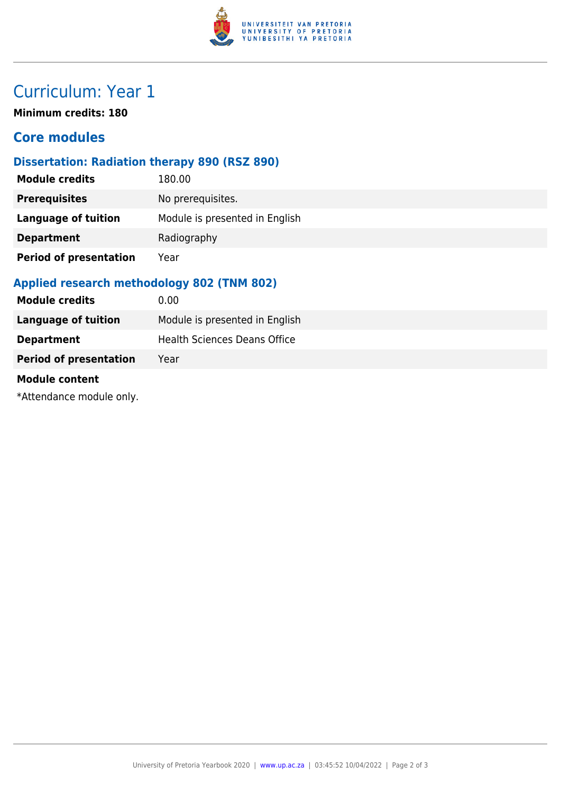

### Curriculum: Year 1

**Minimum credits: 180**

#### **Core modules**

#### **Dissertation: Radiation therapy 890 (RSZ 890)**

| <b>Module credits</b>         | 180.00                         |
|-------------------------------|--------------------------------|
| <b>Prerequisites</b>          | No prerequisites.              |
| Language of tuition           | Module is presented in English |
| <b>Department</b>             | Radiography                    |
| <b>Period of presentation</b> | Year                           |

#### **Applied research methodology 802 (TNM 802)**

| <b>Module credits</b>         | 0.00                                |
|-------------------------------|-------------------------------------|
| Language of tuition           | Module is presented in English      |
| <b>Department</b>             | <b>Health Sciences Deans Office</b> |
| <b>Period of presentation</b> | Year                                |

#### **Module content**

\*Attendance module only.